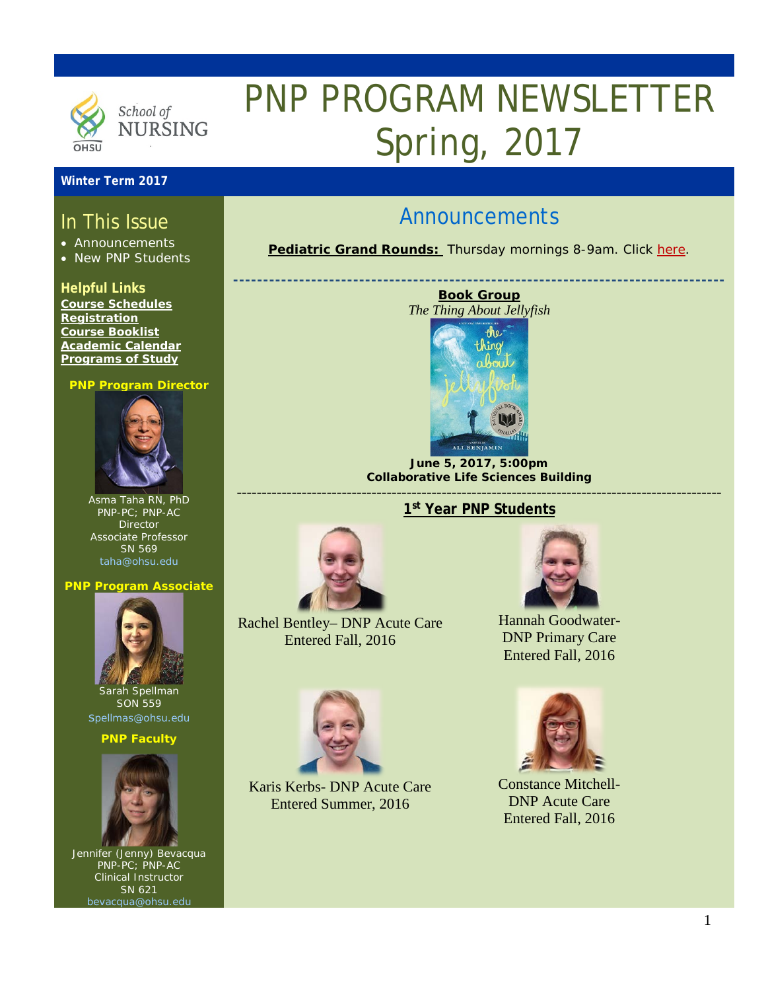

# PNP PROGRAM NEWSLETTER Spring, 2017

### **Winter Term 2017**

## In This Issue

- Announcements
- New PNP Students

### **Helpful Links**

**[Course Schedules](http://www.ohsu.edu/xd/education/schools/school-of-nursing/students/academic-affairs/course-schedule.cfm) [Registration](http://www.ohsu.edu/xd/education/schools/school-of-nursing/students/registration_records.cfm) [Course Booklist](file://ohsum01/ohsu/son/AcademicPrograms/GRAD/PNP/Book%20Lists/Library%20Textbooks%20for%20PNP.xlsx) [Academic Calendar](http://www.ohsu.edu/xd/education/student-services/registrar/registrar-forms/index.cfm) [Programs of Study](http://www.ohsu.edu/xd/education/schools/school-of-nursing/programs/programs-of-study-page.cfm?WT_rank=1)**

#### **PNP Program Director**



Asma Taha RN, PhD PNP-PC; PNP-AC **Director** Associate Professor SN 569 [taha@ohsu.edu](mailto:taha@ohsu.edu)

#### **PNP Program Associate**



Sarah Spellman SON 559 [spellmas@ohsu.edu](mailto:spellmas@ohsu.edu)

#### **PNP Faculty**



Jennifer (Jenny) Bevacqua PNP-PC; PNP-AC Clinical Instructor SN 621 acqua@ohsu.e

# Announcements

**Pediatric Grand Rounds:** Thursday mornings 8-9am. Click [here.](http://www.ohsu.edu/xd/health/services/doernbecher/healthcare-professionals/continuing-education/grand-rounds-schedule/calendar.cfm)

**----------------------------------------------------------------------------------**





**June 5, 2017, 5:00pm Collaborative Life Sciences Building** -------------------------------------------------------------------------------------------------



Rachel Bentley– DNP Acute Care Entered Fall, 2016



Karis Kerbs- DNP Acute Care Entered Summer, 2016



Hannah Goodwater-DNP Primary Care Entered Fall, 2016



Constance Mitchell-DNP Acute Care Entered Fall, 2016

# **1st Year PNP Students**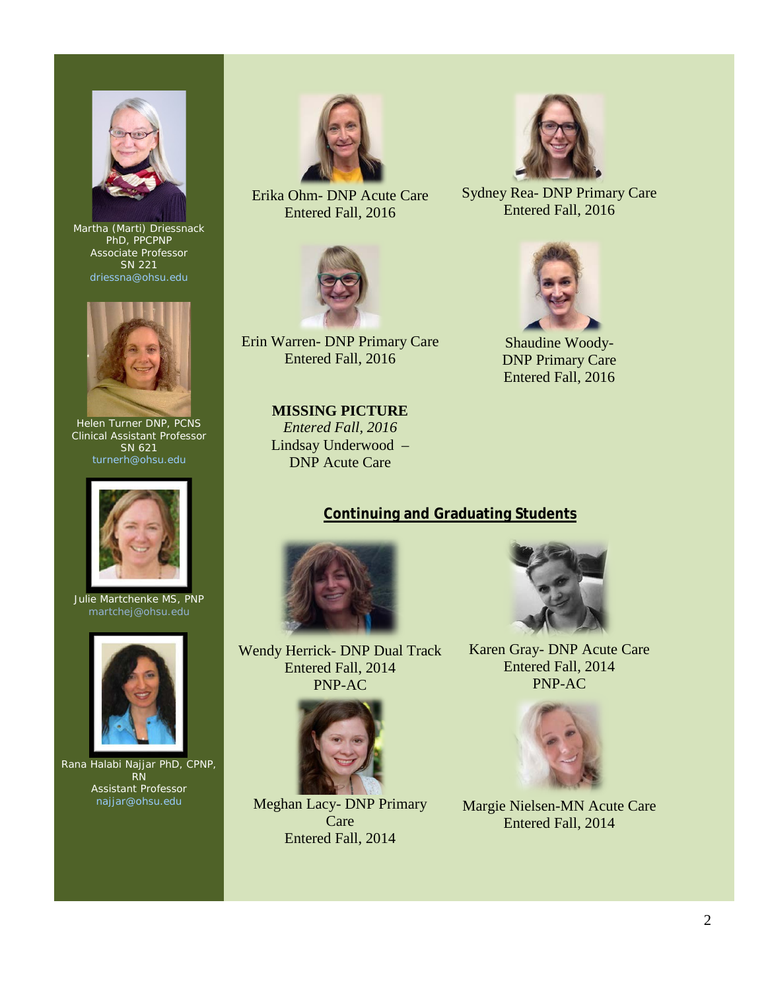

Martha (Marti) Driessnack PhD, PPCPNP Associate Professor SN 221 [driessna@ohsu.edu](mailto:driessna@ohsu.edu)



Helen Turner DNP, PCNS Clinical Assistant Professor SN 621 [turnerh@ohsu.edu](mailto:turnerh@ohsu.edu)



Julie Martchenke MS, PNP



Rana Halabi Najjar PhD, CPNP, RN Assistant Professor najjar@ohsu.edu



Erika Ohm- DNP Acute Care Entered Fall, 2016



Erin Warren- DNP Primary Care Entered Fall, 2016

**MISSING PICTURE** *Entered Fall, 2016* Lindsay Underwood – DNP Acute Care



Sydney Rea- DNP Primary Care Entered Fall, 2016



Shaudine Woody-DNP Primary Care Entered Fall, 2016

### **Continuing and Graduating Students**



Wendy Herrick- DNP Dual Track Entered Fall, 2014 PNP-AC



Meghan Lacy- DNP Primary Care Entered Fall, 2014



Karen Gray- DNP Acute Care Entered Fall, 2014 PNP-AC



Margie Nielsen-MN Acute Care Entered Fall, 2014